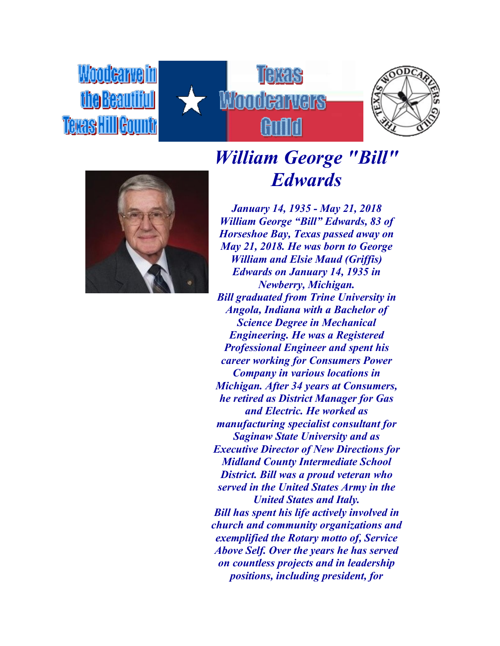*Moodearvelin* the Beautiful **Texas Hill Gounty** 







## *William George "Bill" Edwards*

*January 14, 1935 - May 21, 2018 William George "Bill" Edwards, 83 of Horseshoe Bay, Texas passed away on May 21, 2018. He was born to George William and Elsie Maud (Griffis) Edwards on January 14, 1935 in Newberry, Michigan. Bill graduated from Trine University in Angola, Indiana with a Bachelor of Science Degree in Mechanical Engineering. He was a Registered Professional Engineer and spent his career working for Consumers Power Company in various locations in Michigan. After 34 years at Consumers, he retired as District Manager for Gas and Electric. He worked as manufacturing specialist consultant for Saginaw State University and as Executive Director of New Directions for Midland County Intermediate School District. Bill was a proud veteran who served in the United States Army in the United States and Italy. Bill has spent his life actively involved in church and community organizations and exemplified the Rotary motto of, Service Above Self. Over the years he has served on countless projects and in leadership positions, including president, for*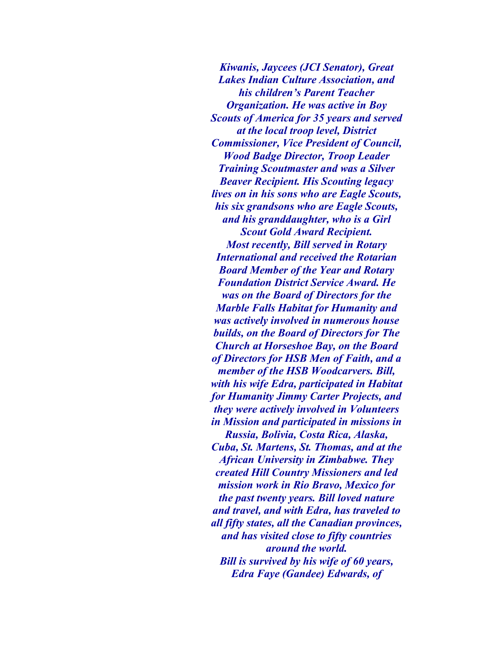*Kiwanis, Jaycees (JCI Senator), Great Lakes Indian Culture Association, and his children's Parent Teacher Organization. He was active in Boy Scouts of America for 35 years and served at the local troop level, District Commissioner, Vice President of Council, Wood Badge Director, Troop Leader Training Scoutmaster and was a Silver Beaver Recipient. His Scouting legacy lives on in his sons who are Eagle Scouts, his six grandsons who are Eagle Scouts, and his granddaughter, who is a Girl Scout Gold Award Recipient. Most recently, Bill served in Rotary International and received the Rotarian Board Member of the Year and Rotary Foundation District Service Award. He was on the Board of Directors for the Marble Falls Habitat for Humanity and was actively involved in numerous house builds, on the Board of Directors for The Church at Horseshoe Bay, on the Board of Directors for HSB Men of Faith, and a member of the HSB Woodcarvers. Bill, with his wife Edra, participated in Habitat for Humanity Jimmy Carter Projects, and they were actively involved in Volunteers in Mission and participated in missions in Russia, Bolivia, Costa Rica, Alaska, Cuba, St. Martens, St. Thomas, and at the African University in Zimbabwe. They created Hill Country Missioners and led mission work in Rio Bravo, Mexico for* 

*the past twenty years. Bill loved nature and travel, and with Edra, has traveled to all fifty states, all the Canadian provinces, and has visited close to fifty countries around the world. Bill is survived by his wife of 60 years, Edra Faye (Gandee) Edwards, of*